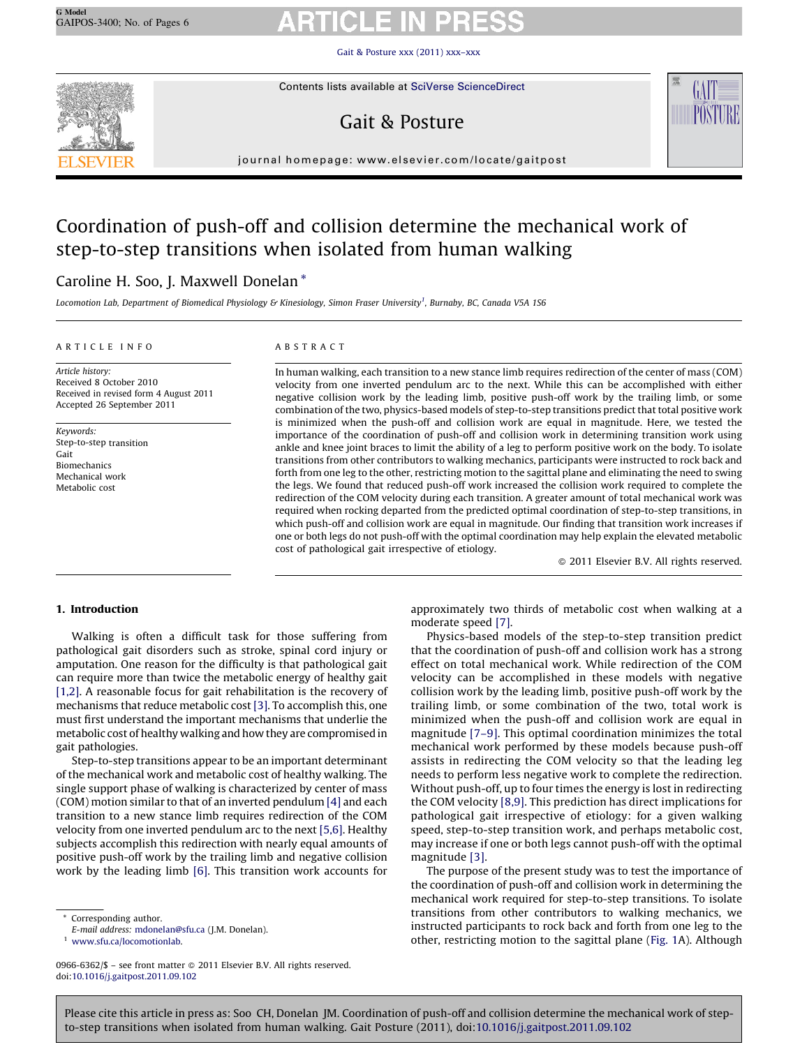Gait & Posture xxx (2011) [xxx–xxx](http://dx.doi.org/10.1016/j.gaitpost.2011.09.102)



Contents lists available at SciVerse [ScienceDirect](http://www.sciencedirect.com/science/journal/09666362)

# Gait & Posture



journal homepage: www.elsevier.com/locate/gaitpost

# Coordination of push-off and collision determine the mechanical work of step-to-step transitions when isolated from human walking

## Caroline H. Soo, J. Maxwell Donelan \*

Locomotion Lab, Department of Biomedical Physiology & Kinesiology, Simon Fraser University<sup>1</sup>, Burnaby, BC, Canada V5A 1S6

### A R T I C L E I N F O

Article history: Received 8 October 2010 Received in revised form 4 August 2011 Accepted 26 September 2011

Keywords: Step-to-step transition Gait Biomechanics Mechanical work Metabolic cost

## A B S T R A C T

In human walking, each transition to a new stance limb requires redirection of the center of mass (COM) velocity from one inverted pendulum arc to the next. While this can be accomplished with either negative collision work by the leading limb, positive push-off work by the trailing limb, or some combination of the two, physics-based models of step-to-step transitions predict that total positive work is minimized when the push-off and collision work are equal in magnitude. Here, we tested the importance of the coordination of push-off and collision work in determining transition work using ankle and knee joint braces to limit the ability of a leg to perform positive work on the body. To isolate transitions from other contributors to walking mechanics, participants were instructed to rock back and forth from one leg to the other, restricting motion to the sagittal plane and eliminating the need to swing the legs. We found that reduced push-off work increased the collision work required to complete the redirection of the COM velocity during each transition. A greater amount of total mechanical work was required when rocking departed from the predicted optimal coordination of step-to-step transitions, in which push-off and collision work are equal in magnitude. Our finding that transition work increases if one or both legs do not push-off with the optimal coordination may help explain the elevated metabolic cost of pathological gait irrespective of etiology.

- 2011 Elsevier B.V. All rights reserved.

### 1. Introduction

Walking is often a difficult task for those suffering from pathological gait disorders such as stroke, spinal cord injury or amputation. One reason for the difficulty is that pathological gait can require more than twice the metabolic energy of healthy gait [\[1,2\]](#page-4-0). A reasonable focus for gait rehabilitation is the recovery of mechanisms that reduce metabolic cost [\[3\].](#page-4-0) To accomplish this, one must first understand the important mechanisms that underlie the metabolic cost of healthy walking and how they are compromised in gait pathologies.

Step-to-step transitions appear to be an important determinant of the mechanical work and metabolic cost of healthy walking. The single support phase of walking is characterized by center of mass (COM) motion similar to that of an inverted pendulum [\[4\]](#page-5-0) and each transition to a new stance limb requires redirection of the COM velocity from one inverted pendulum arc to the next [\[5,6\].](#page-5-0) Healthy subjects accomplish this redirection with nearly equal amounts of positive push-off work by the trailing limb and negative collision work by the leading limb [\[6\]](#page-5-0). This transition work accounts for approximately two thirds of metabolic cost when walking at a moderate speed [\[7\].](#page-5-0)

Physics-based models of the step-to-step transition predict that the coordination of push-off and collision work has a strong effect on total mechanical work. While redirection of the COM velocity can be accomplished in these models with negative collision work by the leading limb, positive push-off work by the trailing limb, or some combination of the two, total work is minimized when the push-off and collision work are equal in magnitude [\[7–9\]](#page-5-0). This optimal coordination minimizes the total mechanical work performed by these models because push-off assists in redirecting the COM velocity so that the leading leg needs to perform less negative work to complete the redirection. Without push-off, up to four times the energy is lost in redirecting the COM velocity [\[8,9\].](#page-5-0) This prediction has direct implications for pathological gait irrespective of etiology: for a given walking speed, step-to-step transition work, and perhaps metabolic cost, may increase if one or both legs cannot push-off with the optimal magnitude [\[3\]](#page-4-0).

The purpose of the present study was to test the importance of the coordination of push-off and collision work in determining the mechanical work required for step-to-step transitions. To isolate transitions from other contributors to walking mechanics, we instructed participants to rock back and forth from one leg to the other, restricting motion to the sagittal plane [\(Fig.](#page-1-0) 1A). Although

Corresponding author.

E-mail address: [mdonelan@sfu.ca](mailto:mdonelan@sfu.ca) (J.M. Donelan).

[www.sfu.ca/locomotionlab.](http://www.sfu.ca/locomotionlab)

<sup>0966-6362/\$ –</sup> see front matter © 2011 Elsevier B.V. All rights reserved. doi:[10.1016/j.gaitpost.2011.09.102](http://dx.doi.org/10.1016/j.gaitpost.2011.09.102)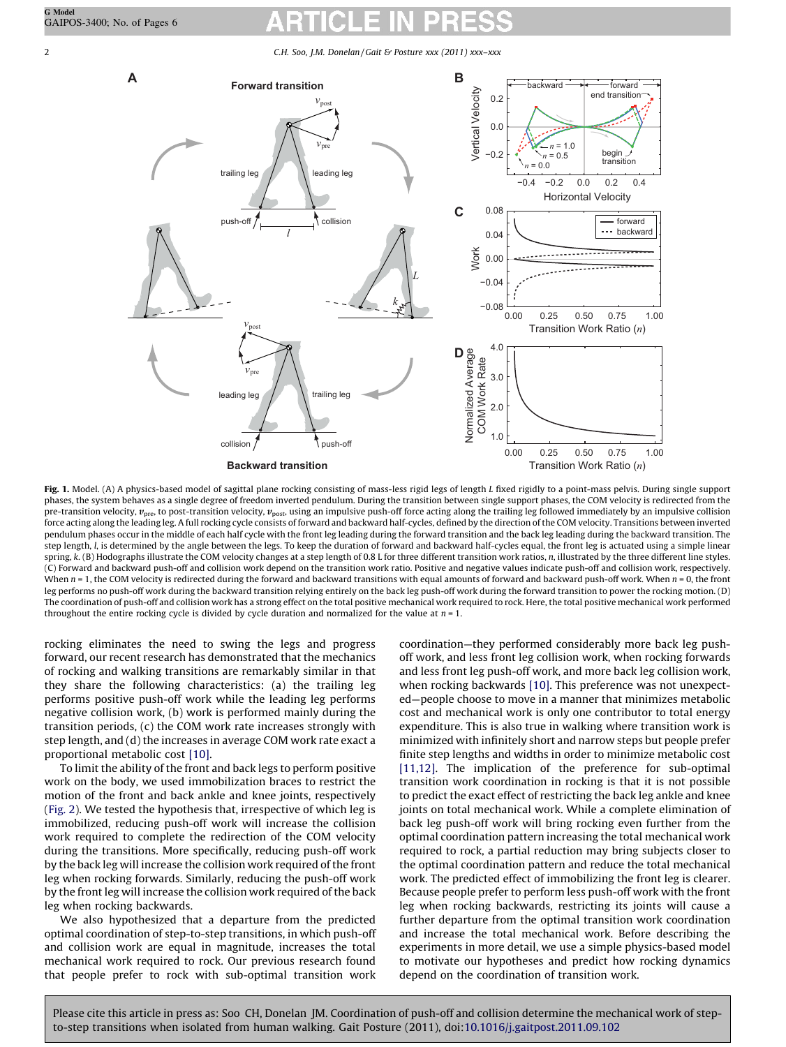<span id="page-1-0"></span>

Fig. 1. Model. (A) A physics-based model of sagittal plane rocking consisting of mass-less rigid legs of length L fixed rigidly to a point-mass pelvis. During single support phases, the system behaves as a single degree of freedom inverted pendulum. During the transition between single support phases, the COM velocity is redirected from the pre-transition velocity,  $v_{\text{pre}}$ , to post-transition velocity,  $v_{\text{post}}$ , using an impulsive push-off force acting along the trailing leg followed immediately by an impulsive collision force acting along the leading leg. A full rocking cycle consists of forward and backward half-cycles, defined by the direction of the COM velocity. Transitions between inverted pendulum phases occur in the middle of each half cycle with the front leg leading during the forward transition and the back leg leading during the backward transition. The step length, l, is determined by the angle between the legs. To keep the duration of forward and backward half-cycles equal, the front leg is actuated using a simple linear spring, k. (B) Hodographs illustrate the COM velocity changes at a step length of 0.8 L for three different transition work ratios, n, illustrated by the three different line styles. (C) Forward and backward push-off and collision work depend on the transition work ratio. Positive and negative values indicate push-off and collision work, respectively. When  $n = 1$ , the COM velocity is redirected during the forward and backward transitions with equal amounts of forward and backward push-off work. When  $n = 0$ , the front leg performs no push-off work during the backward transition relying entirely on the back leg push-off work during the forward transition to power the rocking motion. (D) The coordination of push-off and collision work has a strong effect on the total positive mechanical work required to rock. Here, the total positive mechanical work performed throughout the entire rocking cycle is divided by cycle duration and normalized for the value at  $n = 1$ .

rocking eliminates the need to swing the legs and progress forward, our recent research has demonstrated that the mechanics of rocking and walking transitions are remarkably similar in that they share the following characteristics: (a) the trailing leg performs positive push-off work while the leading leg performs negative collision work, (b) work is performed mainly during the transition periods, (c) the COM work rate increases strongly with step length, and (d) the increases in average COM work rate exact a proportional metabolic cost [\[10\].](#page-5-0)

To limit the ability of the front and back legs to perform positive work on the body, we used immobilization braces to restrict the motion of the front and back ankle and knee joints, respectively ([Fig.](#page-2-0) 2). We tested the hypothesis that, irrespective of which leg is immobilized, reducing push-off work will increase the collision work required to complete the redirection of the COM velocity during the transitions. More specifically, reducing push-off work by the back leg will increase the collision work required of the front leg when rocking forwards. Similarly, reducing the push-off work by the front leg will increase the collision work required of the back leg when rocking backwards.

We also hypothesized that a departure from the predicted optimal coordination of step-to-step transitions, in which push-off and collision work are equal in magnitude, increases the total mechanical work required to rock. Our previous research found that people prefer to rock with sub-optimal transition work coordination—they performed considerably more back leg pushoff work, and less front leg collision work, when rocking forwards and less front leg push-off work, and more back leg collision work, when rocking backwards [\[10\].](#page-5-0) This preference was not unexpected—people choose to move in a manner that minimizes metabolic cost and mechanical work is only one contributor to total energy expenditure. This is also true in walking where transition work is minimized with infinitely short and narrow steps but people prefer finite step lengths and widths in order to minimize metabolic cost [\[11,12\].](#page-5-0) The implication of the preference for sub-optimal transition work coordination in rocking is that it is not possible to predict the exact effect of restricting the back leg ankle and knee joints on total mechanical work. While a complete elimination of back leg push-off work will bring rocking even further from the optimal coordination pattern increasing the total mechanical work required to rock, a partial reduction may bring subjects closer to the optimal coordination pattern and reduce the total mechanical work. The predicted effect of immobilizing the front leg is clearer. Because people prefer to perform less push-off work with the front leg when rocking backwards, restricting its joints will cause a further departure from the optimal transition work coordination and increase the total mechanical work. Before describing the experiments in more detail, we use a simple physics-based model to motivate our hypotheses and predict how rocking dynamics depend on the coordination of transition work.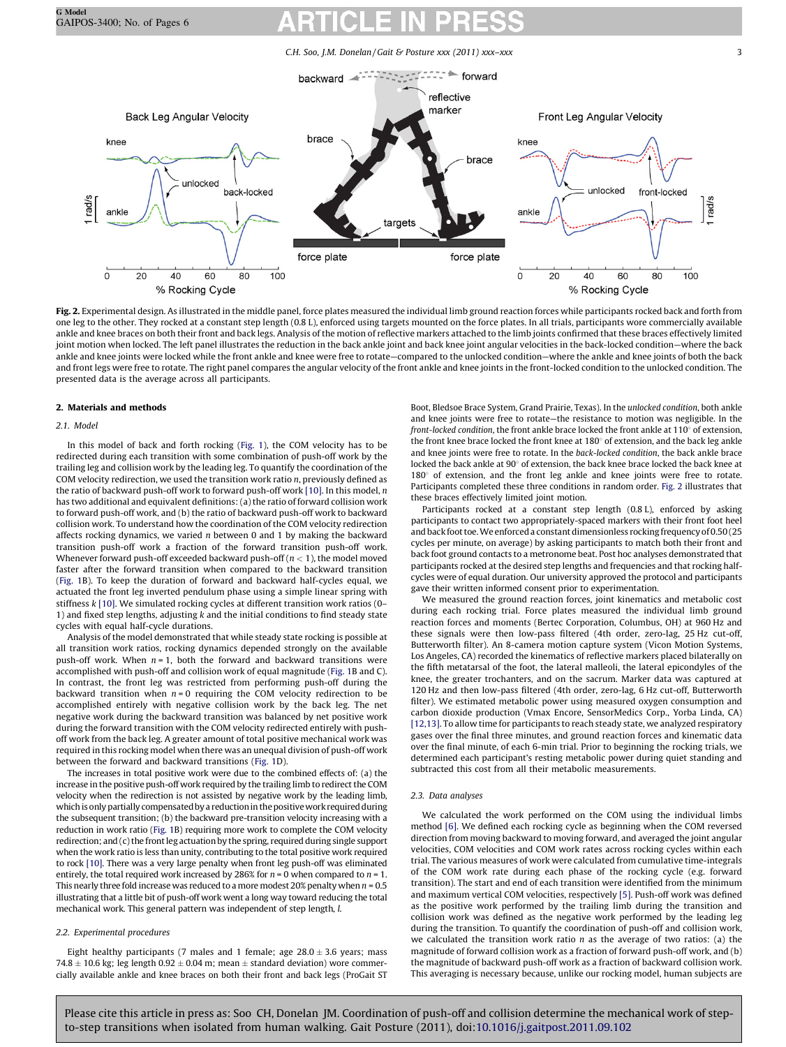<span id="page-2-0"></span>

Fig. 2. Experimental design. As illustrated in the middle panel, force plates measured the individual limb ground reaction forces while participants rocked back and forth from one leg to the other. They rocked at a constant step length (0.8 L), enforced using targets mounted on the force plates. In all trials, participants wore commercially available ankle and knee braces on both their front and back legs. Analysis of the motion of reflective markers attached to the limb joints confirmed that these braces effectively limited joint motion when locked. The left panel illustrates the reduction in the back ankle joint and back knee joint angular velocities in the back-locked condition-where the back ankle and knee joints were locked while the front ankle and knee were free to rotate—compared to the unlocked condition—where the ankle and knee joints of both the back and front legs were free to rotate. The right panel compares the angular velocity of the front ankle and knee joints in the front-locked condition to the unlocked condition. The presented data is the average across all participants.

#### 2. Materials and methods

#### 2.1. Model

In this model of back and forth rocking [\(Fig.](#page-1-0) 1), the COM velocity has to be redirected during each transition with some combination of push-off work by the trailing leg and collision work by the leading leg. To quantify the coordination of the COM velocity redirection, we used the transition work ratio  $n$ , previously defined as the ratio of backward push-off work to forward push-off work [\[10\].](#page-5-0) In this model, n has two additional and equivalent definitions: (a) the ratio of forward collision work to forward push-off work, and (b) the ratio of backward push-off work to backward collision work. To understand how the coordination of the COM velocity redirection affects rocking dynamics, we varied n between 0 and 1 by making the backward transition push-off work a fraction of the forward transition push-off work. Whenever forward push-off exceeded backward push-off  $(n < 1)$ , the model moved faster after the forward transition when compared to the backward transition [\(Fig.](#page-1-0) 1B). To keep the duration of forward and backward half-cycles equal, we actuated the front leg inverted pendulum phase using a simple linear spring with stiffness k [\[10\]](#page-5-0). We simulated rocking cycles at different transition work ratios (0– 1) and fixed step lengths, adjusting  $k$  and the initial conditions to find steady state cycles with equal half-cycle durations.

Analysis of the model demonstrated that while steady state rocking is possible at all transition work ratios, rocking dynamics depended strongly on the available push-off work. When  $n = 1$ , both the forward and backward transitions were accomplished with push-off and collision work of equal magnitude ([Fig.](#page-1-0) 1B and C). In contrast, the front leg was restricted from performing push-off during the backward transition when  $n = 0$  requiring the COM velocity redirection to be accomplished entirely with negative collision work by the back leg. The net negative work during the backward transition was balanced by net positive work during the forward transition with the COM velocity redirected entirely with pushoff work from the back leg. A greater amount of total positive mechanical work was required in this rocking model when there was an unequal division of push-off work between the forward and backward transitions [\(Fig.](#page-1-0) 1D).

The increases in total positive work were due to the combined effects of: (a) the increase in the positive push-off work required by the trailing limb to redirect the COM velocity when the redirection is not assisted by negative work by the leading limb, whichis onlypartially compensated by a reduction inthe positivework requiredduring the subsequent transition; (b) the backward pre-transition velocity increasing with a reduction in work ratio [\(Fig.](#page-1-0) 1B) requiring more work to complete the COM velocity redirection; and (c) the front leg actuation by the spring, required during single support when the work ratio is less than unity, contributing to the total positive work required to rock [\[10\]](#page-5-0). There was a very large penalty when front leg push-off was eliminated entirely, the total required work increased by 286% for  $n = 0$  when compared to  $n = 1$ . This nearly three fold increase was reduced to a more modest 20% penalty when  $n = 0.5$ illustrating that a little bit of push-off work went a long way toward reducing the total mechanical work. This general pattern was independent of step length, l.

#### 2.2. Experimental procedures

Eight healthy participants (7 males and 1 female; age  $28.0 \pm 3.6$  years; mass 74.8  $\pm$  10.6 kg; leg length 0.92  $\pm$  0.04 m; mean  $\pm$  standard deviation) wore commercially available ankle and knee braces on both their front and back legs (ProGait ST

Boot, Bledsoe Brace System, Grand Prairie, Texas). In the unlocked condition, both ankle and knee joints were free to rotate—the resistance to motion was negligible. In the front-locked condition, the front ankle brace locked the front ankle at  $110^\circ$  of extension. the front knee brace locked the front knee at  $180^\circ$  of extension, and the back leg ankle and knee joints were free to rotate. In the back-locked condition, the back ankle brace locked the back ankle at 90° of extension, the back knee brace locked the back knee at  $180^\circ$  of extension, and the front leg ankle and knee joints were free to rotate. Participants completed these three conditions in random order. Fig. 2 illustrates that these braces effectively limited joint motion.

Participants rocked at a constant step length (0.8 L), enforced by asking participants to contact two appropriately-spaced markers with their front foot heel and back foot toe. We enforced a constant dimensionless rocking frequency of 0.50 (25) cycles per minute, on average) by asking participants to match both their front and back foot ground contacts to a metronome beat. Post hoc analyses demonstrated that participants rocked at the desired step lengths and frequencies and that rocking halfcycles were of equal duration. Our university approved the protocol and participants gave their written informed consent prior to experimentation.

We measured the ground reaction forces, joint kinematics and metabolic cost during each rocking trial. Force plates measured the individual limb ground reaction forces and moments (Bertec Corporation, Columbus, OH) at 960 Hz and these signals were then low-pass filtered (4th order, zero-lag, 25 Hz cut-off, Butterworth filter). An 8-camera motion capture system (Vicon Motion Systems, Los Angeles, CA) recorded the kinematics of reflective markers placed bilaterally on the fifth metatarsal of the foot, the lateral malleoli, the lateral epicondyles of the knee, the greater trochanters, and on the sacrum. Marker data was captured at 120 Hz and then low-pass filtered (4th order, zero-lag, 6 Hz cut-off, Butterworth filter). We estimated metabolic power using measured oxygen consumption and carbon dioxide production (Vmax Encore, SensorMedics Corp., Yorba Linda, CA) [\[12,13\]](#page-5-0). To allow time for participants to reach steady state, we analyzed respiratory gases over the final three minutes, and ground reaction forces and kinematic data over the final minute, of each 6-min trial. Prior to beginning the rocking trials, we determined each participant's resting metabolic power during quiet standing and subtracted this cost from all their metabolic measurements.

#### 2.3. Data analyses

We calculated the work performed on the COM using the individual limbs method [\[6\]](#page-5-0). We defined each rocking cycle as beginning when the COM reversed direction from moving backward to moving forward, and averaged the joint angular velocities, COM velocities and COM work rates across rocking cycles within each trial. The various measures of work were calculated from cumulative time-integrals of the COM work rate during each phase of the rocking cycle (e.g. forward transition). The start and end of each transition were identified from the minimum and maximum vertical COM velocities, respectively [\[5\]](#page-5-0). Push-off work was defined as the positive work performed by the trailing limb during the transition and collision work was defined as the negative work performed by the leading leg during the transition. To quantify the coordination of push-off and collision work, we calculated the transition work ratio n as the average of two ratios: (a) the magnitude of forward collision work as a fraction of forward push-off work, and (b) the magnitude of backward push-off work as a fraction of backward collision work. This averaging is necessary because, unlike our rocking model, human subjects are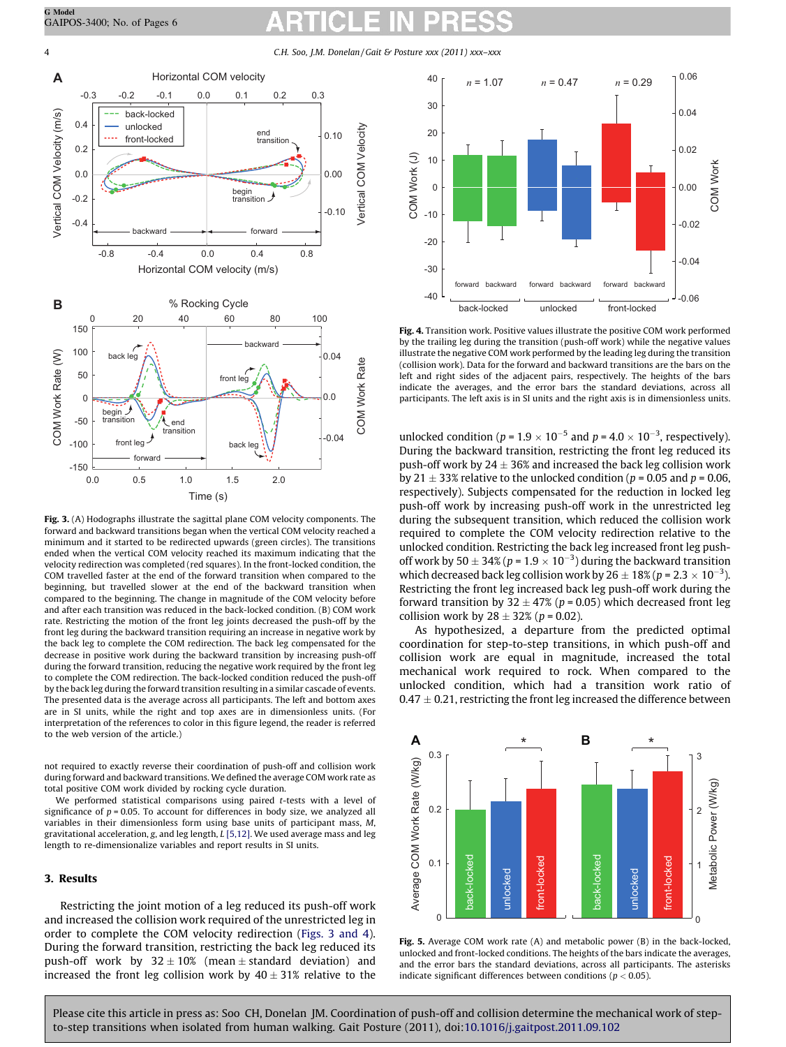<span id="page-3-0"></span>

Fig. 3. (A) Hodographs illustrate the sagittal plane COM velocity components. The forward and backward transitions began when the vertical COM velocity reached a minimum and it started to be redirected upwards (green circles). The transitions ended when the vertical COM velocity reached its maximum indicating that the velocity redirection was completed (red squares). In the front-locked condition, the COM travelled faster at the end of the forward transition when compared to the beginning, but travelled slower at the end of the backward transition when compared to the beginning. The change in magnitude of the COM velocity before and after each transition was reduced in the back-locked condition. (B) COM work rate. Restricting the motion of the front leg joints decreased the push-off by the front leg during the backward transition requiring an increase in negative work by the back leg to complete the COM redirection. The back leg compensated for the decrease in positive work during the backward transition by increasing push-off during the forward transition, reducing the negative work required by the front leg to complete the COM redirection. The back-locked condition reduced the push-off by the back leg during the forward transition resulting in a similar cascade of events. The presented data is the average across all participants. The left and bottom axes are in SI units, while the right and top axes are in dimensionless units. (For interpretation of the references to color in this figure legend, the reader is referred to the web version of the article.)

not required to exactly reverse their coordination of push-off and collision work during forward and backward transitions. We defined the average COM work rate as total positive COM work divided by rocking cycle duration.

We performed statistical comparisons using paired t-tests with a level of significance of  $p = 0.05$ . To account for differences in body size, we analyzed all variables in their dimensionless form using base units of participant mass, M, gravitational acceleration, g, and leg length,  $L$  [\[5,12\].](#page-5-0) We used average mass and leg length to re-dimensionalize variables and report results in SI units.

### 3. Results

Restricting the joint motion of a leg reduced its push-off work and increased the collision work required of the unrestricted leg in order to complete the COM velocity redirection (Figs. 3 and 4). During the forward transition, restricting the back leg reduced its push-off work by  $32 \pm 10\%$  (mean  $\pm$  standard deviation) and increased the front leg collision work by  $40 \pm 31\%$  relative to the



Fig. 4. Transition work. Positive values illustrate the positive COM work performed by the trailing leg during the transition (push-off work) while the negative values illustrate the negative COM work performed by the leading leg during the transition (collision work). Data for the forward and backward transitions are the bars on the left and right sides of the adjacent pairs, respectively. The heights of the bars indicate the averages, and the error bars the standard deviations, across all participants. The left axis is in SI units and the right axis is in dimensionless units.

unlocked condition ( $p = 1.9 \times 10^{-5}$  and  $p = 4.0 \times 10^{-3}$ , respectively). During the backward transition, restricting the front leg reduced its push-off work by 24  $\pm$  36% and increased the back leg collision work by 21  $\pm$  33% relative to the unlocked condition (p = 0.05 and p = 0.06, respectively). Subjects compensated for the reduction in locked leg push-off work by increasing push-off work in the unrestricted leg during the subsequent transition, which reduced the collision work required to complete the COM velocity redirection relative to the unlocked condition. Restricting the back leg increased front leg pushoff work by 50  $\pm$  34% (p = 1.9  $\times$  10<sup>-3</sup>) during the backward transition which decreased back leg collision work by 26  $\pm$  18% (p = 2.3  $\times$  10<sup>-3</sup>). Restricting the front leg increased back leg push-off work during the forward transition by 32  $\pm$  47% (p = 0.05) which decreased front leg collision work by  $28 \pm 32\%$  (p = 0.02).

As hypothesized, a departure from the predicted optimal coordination for step-to-step transitions, in which push-off and collision work are equal in magnitude, increased the total mechanical work required to rock. When compared to the unlocked condition, which had a transition work ratio of 0.47  $\pm$  0.21, restricting the front leg increased the difference between



Fig. 5. Average COM work rate (A) and metabolic power (B) in the back-locked, unlocked and front-locked conditions. The heights of the bars indicate the averages, and the error bars the standard deviations, across all participants. The asterisks indicate significant differences between conditions ( $p < 0.05$ ).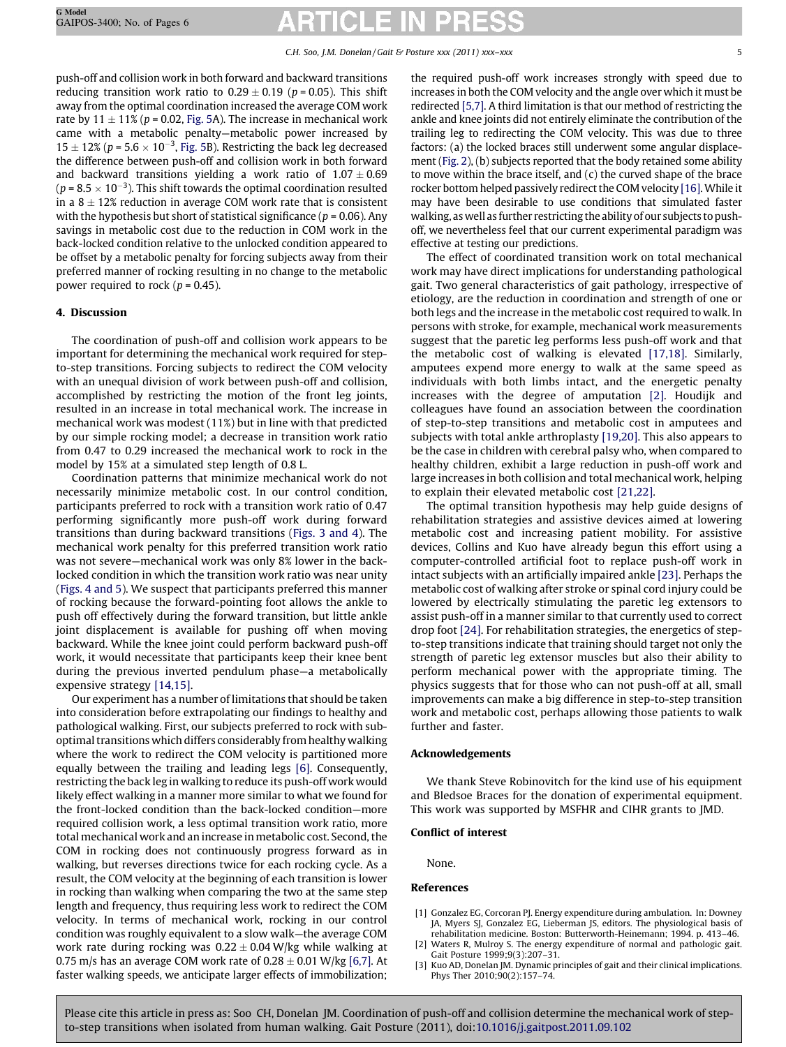<span id="page-4-0"></span>push-off and collision work in both forward and backward transitions reducing transition work ratio to 0.29  $\pm$  0.19 (p = 0.05). This shift away from the optimal coordination increased the average COM work rate by 11  $\pm$  11% (p = 0.02, [Fig.](#page-3-0) 5A). The increase in mechanical work came with a metabolic penalty—metabolic power increased by  $15 \pm 12\%$  (p =  $5.6 \times 10^{-3}$ , [Fig.](#page-3-0) 5B). Restricting the back leg decreased the difference between push-off and collision work in both forward and backward transitions yielding a work ratio of 1.07  $\pm$  0.69  $\,$ (p = 8.5  $\times$  10<sup>-3</sup>). This shift towards the optimal coordination resulted in a 8  $\pm$  12% reduction in average COM work rate that is consistent with the hypothesis but short of statistical significance ( $p = 0.06$ ). Any savings in metabolic cost due to the reduction in COM work in the back-locked condition relative to the unlocked condition appeared to be offset by a metabolic penalty for forcing subjects away from their preferred manner of rocking resulting in no change to the metabolic power required to rock ( $p = 0.45$ ).

### 4. Discussion

The coordination of push-off and collision work appears to be important for determining the mechanical work required for stepto-step transitions. Forcing subjects to redirect the COM velocity with an unequal division of work between push-off and collision, accomplished by restricting the motion of the front leg joints, resulted in an increase in total mechanical work. The increase in mechanical work was modest (11%) but in line with that predicted by our simple rocking model; a decrease in transition work ratio from 0.47 to 0.29 increased the mechanical work to rock in the model by 15% at a simulated step length of 0.8 L.

Coordination patterns that minimize mechanical work do not necessarily minimize metabolic cost. In our control condition, participants preferred to rock with a transition work ratio of 0.47 performing significantly more push-off work during forward transitions than during backward transitions [\(Figs.](#page-3-0) 3 and 4). The mechanical work penalty for this preferred transition work ratio was not severe—mechanical work was only 8% lower in the backlocked condition in which the transition work ratio was near unity ([Figs.](#page-3-0) 4 and 5). We suspect that participants preferred this manner of rocking because the forward-pointing foot allows the ankle to push off effectively during the forward transition, but little ankle joint displacement is available for pushing off when moving backward. While the knee joint could perform backward push-off work, it would necessitate that participants keep their knee bent during the previous inverted pendulum phase—a metabolically expensive strategy [\[14,15\]](#page-5-0).

Our experiment has a number of limitations that should be taken into consideration before extrapolating our findings to healthy and pathological walking. First, our subjects preferred to rock with suboptimal transitions which differs considerably from healthy walking where the work to redirect the COM velocity is partitioned more equally between the trailing and leading legs [\[6\].](#page-5-0) Consequently, restricting the back leg in walking to reduce its push-off work would likely effect walking in a manner more similar to what we found for the front-locked condition than the back-locked condition—more required collision work, a less optimal transition work ratio, more total mechanical work and an increase in metabolic cost. Second, the COM in rocking does not continuously progress forward as in walking, but reverses directions twice for each rocking cycle. As a result, the COM velocity at the beginning of each transition is lower in rocking than walking when comparing the two at the same step length and frequency, thus requiring less work to redirect the COM velocity. In terms of mechanical work, rocking in our control condition was roughly equivalent to a slow walk—the average COM work rate during rocking was  $0.22 \pm 0.04$  W/kg while walking at 0.75 m/s has an average COM work rate of 0.28  $\pm$  0.01 W/kg [\[6,7\]](#page-5-0). At faster walking speeds, we anticipate larger effects of immobilization; the required push-off work increases strongly with speed due to increases in both the COM velocity and the angle over which it must be redirected [\[5,7\].](#page-5-0) A third limitation is that our method of restricting the ankle and knee joints did not entirely eliminate the contribution of the trailing leg to redirecting the COM velocity. This was due to three factors: (a) the locked braces still underwent some angular displacement [\(Fig.](#page-2-0) 2), (b) subjects reported that the body retained some ability to move within the brace itself, and (c) the curved shape of the brace rocker bottom helped passively redirect the COM velocity [\[16\].](#page-5-0) While it may have been desirable to use conditions that simulated faster walking, as well as further restricting the ability of our subjects to pushoff, we nevertheless feel that our current experimental paradigm was effective at testing our predictions.

The effect of coordinated transition work on total mechanical work may have direct implications for understanding pathological gait. Two general characteristics of gait pathology, irrespective of etiology, are the reduction in coordination and strength of one or both legs and the increase in the metabolic cost required to walk. In persons with stroke, for example, mechanical work measurements suggest that the paretic leg performs less push-off work and that the metabolic cost of walking is elevated [\[17,18\]](#page-5-0). Similarly, amputees expend more energy to walk at the same speed as individuals with both limbs intact, and the energetic penalty increases with the degree of amputation [2]. Houdijk and colleagues have found an association between the coordination of step-to-step transitions and metabolic cost in amputees and subjects with total ankle arthroplasty [\[19,20\]](#page-5-0). This also appears to be the case in children with cerebral palsy who, when compared to healthy children, exhibit a large reduction in push-off work and large increases in both collision and total mechanical work, helping to explain their elevated metabolic cost [\[21,22\].](#page-5-0)

The optimal transition hypothesis may help guide designs of rehabilitation strategies and assistive devices aimed at lowering metabolic cost and increasing patient mobility. For assistive devices, Collins and Kuo have already begun this effort using a computer-controlled artificial foot to replace push-off work in intact subjects with an artificially impaired ankle [\[23\]](#page-5-0). Perhaps the metabolic cost of walking after stroke or spinal cord injury could be lowered by electrically stimulating the paretic leg extensors to assist push-off in a manner similar to that currently used to correct drop foot [\[24\]](#page-5-0). For rehabilitation strategies, the energetics of stepto-step transitions indicate that training should target not only the strength of paretic leg extensor muscles but also their ability to perform mechanical power with the appropriate timing. The physics suggests that for those who can not push-off at all, small improvements can make a big difference in step-to-step transition work and metabolic cost, perhaps allowing those patients to walk further and faster.

### Acknowledgements

We thank Steve Robinovitch for the kind use of his equipment and Bledsoe Braces for the donation of experimental equipment. This work was supported by MSFHR and CIHR grants to JMD.

#### Conflict of interest

None.

### References

- [1] Gonzalez EG, Corcoran PJ. Energy expenditure during ambulation. In: Downey JA, Myers SJ, Gonzalez EG, Lieberman JS, editors. The physiological basis of rehabilitation medicine. Boston: Butterworth-Heinemann; 1994. p. 413–46.
- Waters R, Mulroy S. The energy expenditure of normal and pathologic gait. Gait Posture 1999;9(3):207–31.
- Kuo AD, Donelan JM. Dynamic principles of gait and their clinical implications. Phys Ther 2010;90(2):157–74.